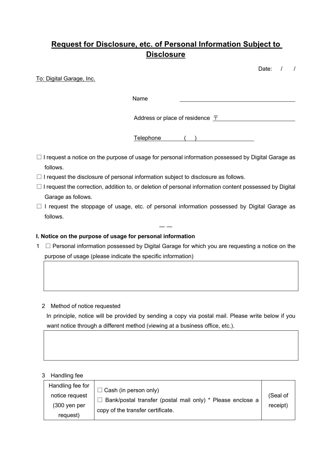# **Request for Disclosure, etc. of Personal Information Subject to Disclosure**

Date: / /

To: Digital Garage, Inc.

Name

Address or place of residence  $\bar{\tau}$ 

Telephone ( )

- □ I request a notice on the purpose of usage for personal information possessed by Digital Garage as follows.
- $\Box$  I request the disclosure of personal information subject to disclosure as follows.
- $\Box$  I request the correction, addition to, or deletion of personal information content possessed by Digital Garage as follows.
- $\Box$  I request the stoppage of usage, etc. of personal information possessed by Digital Garage as follows.

― ―

# **I. Notice on the purpose of usage for personal information**

1 □ Personal information possessed by Digital Garage for which you are requesting a notice on the purpose of usage (please indicate the specific information)

## 2 Method of notice requested

In principle, notice will be provided by sending a copy via postal mail. Please write below if you want notice through a different method (viewing at a business office, etc.).

### 3 Handling fee

| Handling fee for                    | $\Box$ Cash (in person only)                                                                    |          |
|-------------------------------------|-------------------------------------------------------------------------------------------------|----------|
| notice request                      |                                                                                                 | (Seal of |
| $(300 \text{ yen per})$<br>request) | Bank/postal transfer (postal mail only) * Please enclose a<br>copy of the transfer certificate. | receipt) |
|                                     |                                                                                                 |          |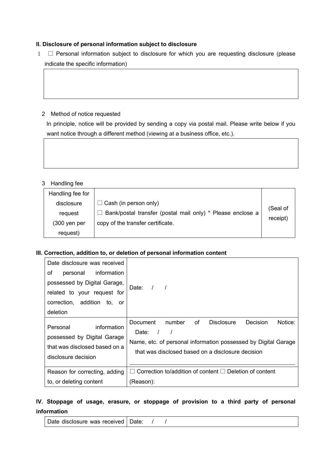#### **II. Disclosure of personal information subject to disclosure**

1 □ Personal information subject to disclosure for which you are requesting disclosure (please indicate the specific information)

#### 2 Method of notice requested

In principle, notice will be provided by sending a copy via postal mail. Please write below if you want notice through a different method (viewing at a business office, etc.).

### 3 Handling fee

| Handling fee for        |                                                            |                      |
|-------------------------|------------------------------------------------------------|----------------------|
| disclosure              | $\Box$ Cash (in person only)                               | (Seal of<br>receipt) |
| request                 | Bank/postal transfer (postal mail only) * Please enclose a |                      |
| $(300 \text{ yen per})$ | copy of the transfer certificate.                          |                      |
| request)                |                                                            |                      |

#### **III. Correction, addition to, or deletion of personal information content**

| Date disclosure was received                                                                                   |                                                                                                                                                                                                               |  |  |  |
|----------------------------------------------------------------------------------------------------------------|---------------------------------------------------------------------------------------------------------------------------------------------------------------------------------------------------------------|--|--|--|
| information<br>οf<br>personal                                                                                  |                                                                                                                                                                                                               |  |  |  |
| possessed by Digital Garage,                                                                                   | Date: $/$ /                                                                                                                                                                                                   |  |  |  |
| related to your request for                                                                                    |                                                                                                                                                                                                               |  |  |  |
| correction, addition to, or                                                                                    |                                                                                                                                                                                                               |  |  |  |
| deletion                                                                                                       |                                                                                                                                                                                                               |  |  |  |
| information<br>Personal<br>possessed by Digital Garage<br>that was disclosed based on a<br>disclosure decision | 0f<br>Notice:<br>Document<br>number<br><b>Disclosure</b><br><b>Decision</b><br>Date: /<br>Name, etc. of personal information possessed by Digital Garage<br>that was disclosed based on a disclosure decision |  |  |  |
| Reason for correcting, adding                                                                                  | Correction to/addition of content $\Box$ Deletion of content                                                                                                                                                  |  |  |  |
| to, or deleting content                                                                                        | (Reason):                                                                                                                                                                                                     |  |  |  |

# **IV. Stoppage of usage, erasure, or stoppage of provision to a third party of personal information**

Date disclosure was received  $\vert$  Date:  $\vert$